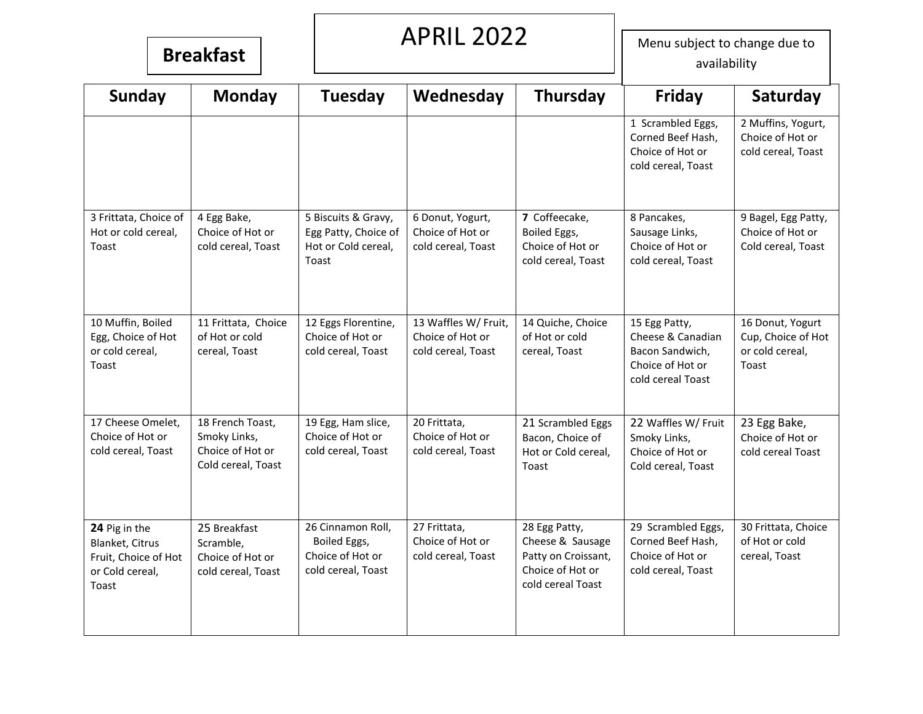# APRIL 2022

**Breakfast** Menu subject to change due to **Breakfast** availability

| <b>Sunday</b>                                                                        | <b>Monday</b>                                                              | <b>Tuesday</b>                                                              | Wednesday                                                      | <b>Thursday</b>                                                                                   | Friday                                                                                         | Saturday                                                           |
|--------------------------------------------------------------------------------------|----------------------------------------------------------------------------|-----------------------------------------------------------------------------|----------------------------------------------------------------|---------------------------------------------------------------------------------------------------|------------------------------------------------------------------------------------------------|--------------------------------------------------------------------|
|                                                                                      |                                                                            |                                                                             |                                                                |                                                                                                   | 1 Scrambled Eggs,<br>Corned Beef Hash,<br>Choice of Hot or<br>cold cereal, Toast               | 2 Muffins, Yogurt,<br>Choice of Hot or<br>cold cereal, Toast       |
| 3 Frittata, Choice of<br>Hot or cold cereal,<br>Toast                                | 4 Egg Bake,<br>Choice of Hot or<br>cold cereal, Toast                      | 5 Biscuits & Gravy,<br>Egg Patty, Choice of<br>Hot or Cold cereal,<br>Toast | 6 Donut, Yogurt,<br>Choice of Hot or<br>cold cereal, Toast     | 7 Coffeecake,<br>Boiled Eggs,<br>Choice of Hot or<br>cold cereal, Toast                           | 8 Pancakes,<br>Sausage Links,<br>Choice of Hot or<br>cold cereal, Toast                        | 9 Bagel, Egg Patty,<br>Choice of Hot or<br>Cold cereal, Toast      |
| 10 Muffin, Boiled<br>Egg, Choice of Hot<br>or cold cereal,<br>Toast                  | 11 Frittata, Choice<br>of Hot or cold<br>cereal, Toast                     | 12 Eggs Florentine,<br>Choice of Hot or<br>cold cereal, Toast               | 13 Waffles W/ Fruit,<br>Choice of Hot or<br>cold cereal, Toast | 14 Quiche, Choice<br>of Hot or cold<br>cereal, Toast                                              | 15 Egg Patty,<br>Cheese & Canadian<br>Bacon Sandwich,<br>Choice of Hot or<br>cold cereal Toast | 16 Donut, Yogurt<br>Cup, Choice of Hot<br>or cold cereal,<br>Toast |
| 17 Cheese Omelet,<br>Choice of Hot or<br>cold cereal, Toast                          | 18 French Toast,<br>Smoky Links,<br>Choice of Hot or<br>Cold cereal, Toast | 19 Egg, Ham slice,<br>Choice of Hot or<br>cold cereal, Toast                | 20 Frittata,<br>Choice of Hot or<br>cold cereal, Toast         | 21 Scrambled Eggs<br>Bacon, Choice of<br>Hot or Cold cereal,<br>Toast                             | 22 Waffles W/ Fruit<br>Smoky Links,<br>Choice of Hot or<br>Cold cereal, Toast                  | 23 Egg Bake,<br>Choice of Hot or<br>cold cereal Toast              |
| 24 Pig in the<br>Blanket, Citrus<br>Fruit, Choice of Hot<br>or Cold cereal,<br>Toast | 25 Breakfast<br>Scramble,<br>Choice of Hot or<br>cold cereal, Toast        | 26 Cinnamon Roll,<br>Boiled Eggs,<br>Choice of Hot or<br>cold cereal, Toast | 27 Frittata,<br>Choice of Hot or<br>cold cereal, Toast         | 28 Egg Patty,<br>Cheese & Sausage<br>Patty on Croissant,<br>Choice of Hot or<br>cold cereal Toast | 29 Scrambled Eggs,<br>Corned Beef Hash,<br>Choice of Hot or<br>cold cereal, Toast              | 30 Frittata, Choice<br>of Hot or cold<br>cereal, Toast             |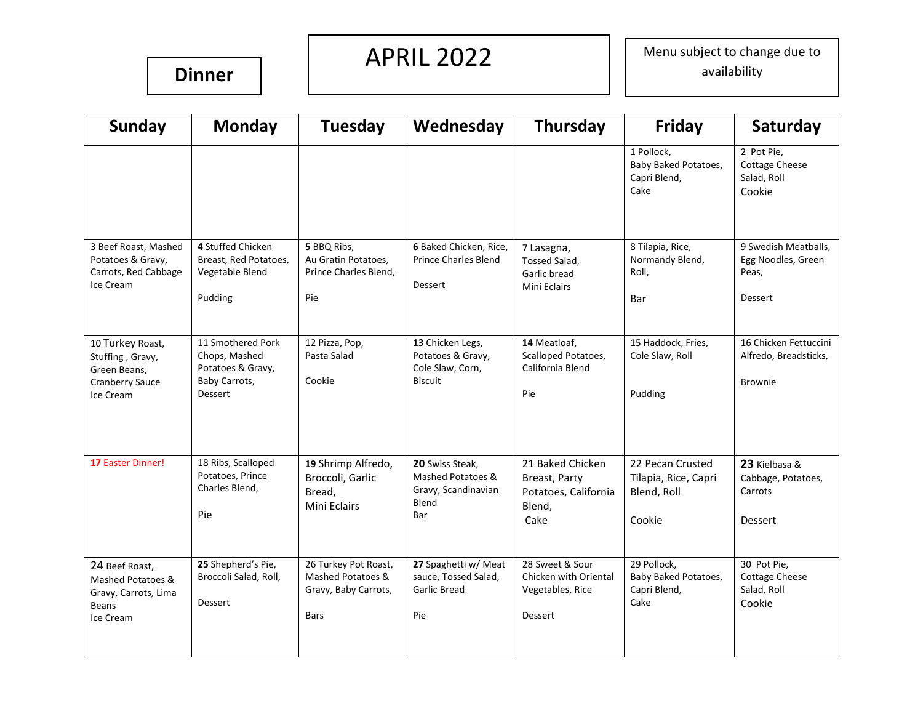### **Dinner**

# APRIL 2022

Menu subject to change due to availability

| <b>Sunday</b>                                                                            | <b>Monday</b>                                                                       | <b>Tuesday</b>                                                                   | Wednesday                                                                   | <b>Thursday</b>                                                             | <b>Friday</b>                                                     | Saturday                                                              |
|------------------------------------------------------------------------------------------|-------------------------------------------------------------------------------------|----------------------------------------------------------------------------------|-----------------------------------------------------------------------------|-----------------------------------------------------------------------------|-------------------------------------------------------------------|-----------------------------------------------------------------------|
|                                                                                          |                                                                                     |                                                                                  |                                                                             |                                                                             | 1 Pollock,<br>Baby Baked Potatoes,<br>Capri Blend,<br>Cake        | 2 Pot Pie,<br><b>Cottage Cheese</b><br>Salad, Roll<br>Cookie          |
| 3 Beef Roast, Mashed<br>Potatoes & Gravy,<br>Carrots, Red Cabbage<br>Ice Cream           | 4 Stuffed Chicken<br>Breast, Red Potatoes,<br>Vegetable Blend<br>Pudding            | 5 BBQ Ribs,<br>Au Gratin Potatoes,<br>Prince Charles Blend,<br>Pie               | 6 Baked Chicken, Rice,<br><b>Prince Charles Blend</b><br><b>Dessert</b>     | 7 Lasagna,<br>Tossed Salad,<br>Garlic bread<br><b>Mini Eclairs</b>          | 8 Tilapia, Rice,<br>Normandy Blend,<br>Roll,<br>Bar               | 9 Swedish Meatballs,<br>Egg Noodles, Green<br>Peas,<br><b>Dessert</b> |
|                                                                                          |                                                                                     |                                                                                  |                                                                             |                                                                             |                                                                   |                                                                       |
| 10 Turkey Roast,<br>Stuffing, Gravy,<br>Green Beans,<br>Cranberry Sauce<br>Ice Cream     | 11 Smothered Pork<br>Chops, Mashed<br>Potatoes & Gravy,<br>Baby Carrots,<br>Dessert | 12 Pizza, Pop,<br>Pasta Salad<br>Cookie                                          | 13 Chicken Legs,<br>Potatoes & Gravy,<br>Cole Slaw, Corn,<br><b>Biscuit</b> | 14 Meatloaf,<br>Scalloped Potatoes,<br>California Blend<br>Pie              | 15 Haddock, Fries,<br>Cole Slaw, Roll<br>Pudding                  | 16 Chicken Fettuccini<br>Alfredo, Breadsticks,<br><b>Brownie</b>      |
| 17 Easter Dinner!                                                                        | 18 Ribs, Scalloped<br>Potatoes, Prince<br>Charles Blend,<br>Pie                     | 19 Shrimp Alfredo,<br>Broccoli, Garlic<br>Bread,<br>Mini Eclairs                 | 20 Swiss Steak,<br>Mashed Potatoes &<br>Gravy, Scandinavian<br>Blend<br>Bar | 21 Baked Chicken<br>Breast, Party<br>Potatoes, California<br>Blend,<br>Cake | 22 Pecan Crusted<br>Tilapia, Rice, Capri<br>Blend, Roll<br>Cookie | 23 Kielbasa &<br>Cabbage, Potatoes,<br>Carrots<br>Dessert             |
| 24 Beef Roast,<br>Mashed Potatoes &<br>Gravy, Carrots, Lima<br><b>Beans</b><br>Ice Cream | 25 Shepherd's Pie,<br>Broccoli Salad, Roll,<br>Dessert                              | 26 Turkey Pot Roast,<br>Mashed Potatoes &<br>Gravy, Baby Carrots,<br><b>Bars</b> | 27 Spaghetti w/ Meat<br>sauce, Tossed Salad,<br><b>Garlic Bread</b><br>Pie  | 28 Sweet & Sour<br>Chicken with Oriental<br>Vegetables, Rice<br>Dessert     | 29 Pollock.<br>Baby Baked Potatoes,<br>Capri Blend,<br>Cake       | 30 Pot Pie,<br><b>Cottage Cheese</b><br>Salad, Roll<br>Cookie         |